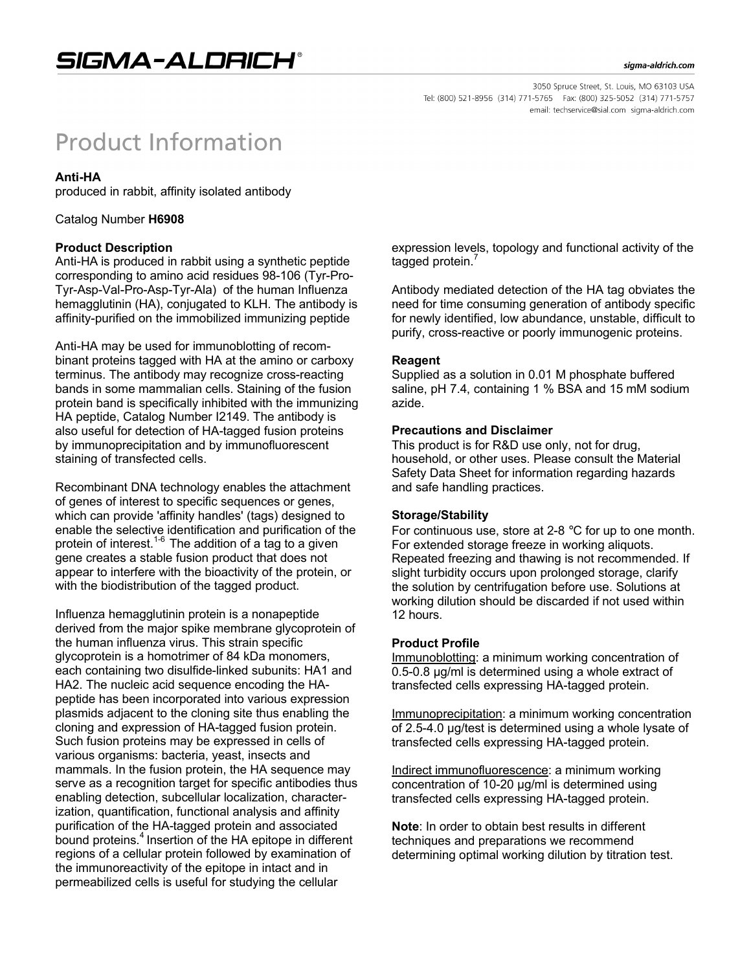#### sigma-aldrich.com

# **Product Information**

### **Anti-HA**

produced in rabbit, affinity isolated antibody

Catalog Number **H6908**

#### **Product Description**

Anti-HA is produced in rabbit using a synthetic peptide corresponding to amino acid residues 98-106 (Tyr-Pro-Tyr-Asp-Val-Pro-Asp-Tyr-Ala) of the human Influenza hemagglutinin (HA), conjugated to KLH. The antibody is affinity-purified on the immobilized immunizing peptide

Anti-HA may be used for immunoblotting of recombinant proteins tagged with HA at the amino or carboxy terminus. The antibody may recognize cross-reacting bands in some mammalian cells. Staining of the fusion protein band is specifically inhibited with the immunizing HA peptide, Catalog Number I2149. The antibody is also useful for detection of HA-tagged fusion proteins by immunoprecipitation and by immunofluorescent staining of transfected cells.

Recombinant DNA technology enables the attachment of genes of interest to specific sequences or genes, which can provide 'affinity handles' (tags) designed to enable the selective identification and purification of the protein of interest.<sup>1-6</sup> The addition of a tag to a given gene creates a stable fusion product that does not appear to interfere with the bioactivity of the protein, or with the biodistribution of the tagged product.

Influenza hemagglutinin protein is a nonapeptide derived from the major spike membrane glycoprotein of the human influenza virus. This strain specific glycoprotein is a homotrimer of 84 kDa monomers, each containing two disulfide-linked subunits: HA1 and HA2. The nucleic acid sequence encoding the HApeptide has been incorporated into various expression plasmids adjacent to the cloning site thus enabling the cloning and expression of HA-tagged fusion protein. Such fusion proteins may be expressed in cells of various organisms: bacteria, yeast, insects and mammals. In the fusion protein, the HA sequence may serve as a recognition target for specific antibodies thus enabling detection, subcellular localization, characterization, quantification, functional analysis and affinity purification of the HA-tagged protein and associated bound proteins.<sup>4</sup> Insertion of the HA epitope in different regions of a cellular protein followed by examination of the immunoreactivity of the epitope in intact and in permeabilized cells is useful for studying the cellular

expression levels, topology and functional activity of the tagged protein.<sup>7</sup>

Antibody mediated detection of the HA tag obviates the need for time consuming generation of antibody specific for newly identified, low abundance, unstable, difficult to purify, cross-reactive or poorly immunogenic proteins.

#### **Reagent**

Supplied as a solution in 0.01 M phosphate buffered saline, pH 7.4, containing 1 % BSA and 15 mM sodium azide.

#### **Precautions and Disclaimer**

This product is for R&D use only, not for drug, household, or other uses. Please consult the Material Safety Data Sheet for information regarding hazards and safe handling practices.

#### **Storage/Stability**

For continuous use, store at 2-8 °C for up to one month. For extended storage freeze in working aliquots. Repeated freezing and thawing is not recommended. If slight turbidity occurs upon prolonged storage, clarify the solution by centrifugation before use. Solutions at working dilution should be discarded if not used within 12 hours.

#### **Product Profile**

Immunoblotting: a minimum working concentration of 0.5-0.8 µg/ml is determined using a whole extract of transfected cells expressing HA-tagged protein.

Immunoprecipitation: a minimum working concentration of 2.5-4.0 µg/test is determined using a whole lysate of transfected cells expressing HA-tagged protein.

Indirect immunofluorescence: a minimum working concentration of 10-20 µg/ml is determined using transfected cells expressing HA-tagged protein.

**Note**: In order to obtain best results in different techniques and preparations we recommend determining optimal working dilution by titration test.